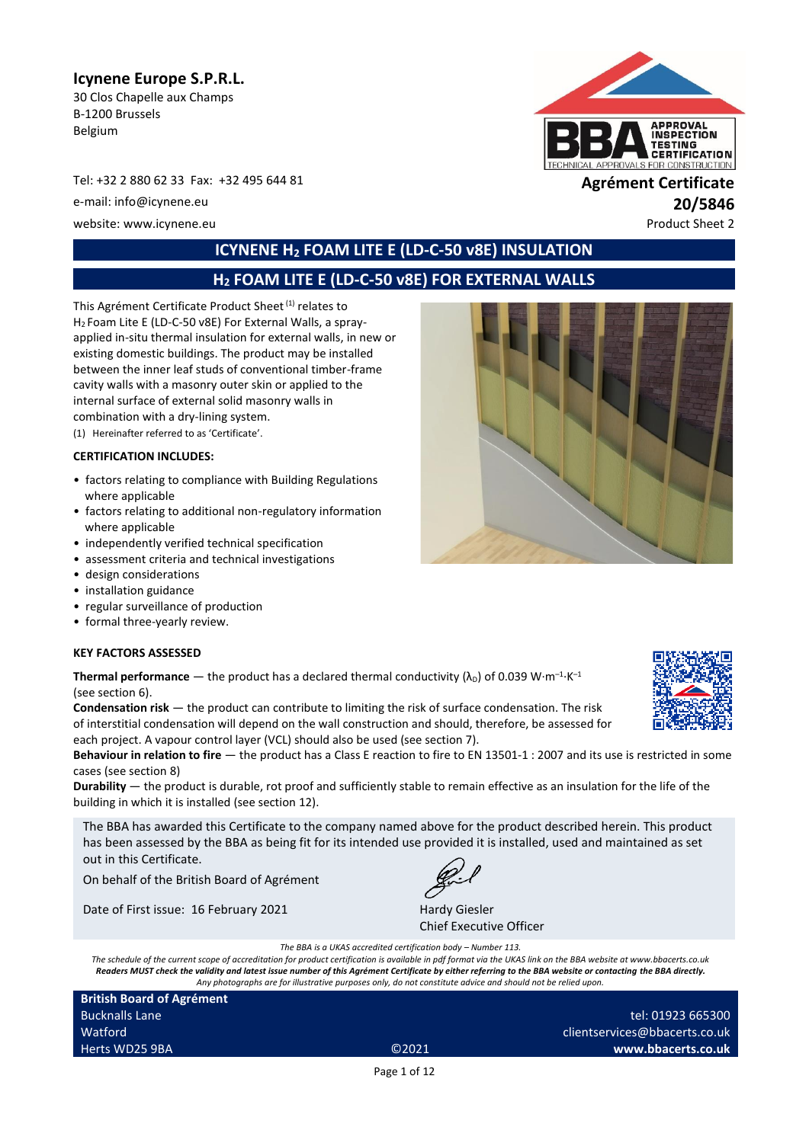# **Icynene Europe S.P.R.L.**

30 Clos Chapelle aux Champs B-1200 Brussels Belgium

Tel: +32 2 880 62 33 Fax: +32 495 644 81 **Agrément Certificate**

e-mail: info@icynene.eu **20/5846**

website: www.icynene.eu entry and the extraordinary product Sheet 2



# **ICYNENE H<sup>2</sup> FOAM LITE E (LD-C-50 v8E) INSULATION**

# **H<sup>2</sup> FOAM LITE E (LD-C-50 v8E) FOR EXTERNAL WALLS**

This Agrément Certificate Product Sheet<sup>(1)</sup> relates to H<sup>2</sup> Foam Lite E (LD-C-50 v8E) For External Walls, a sprayapplied in-situ thermal insulation for external walls, in new or existing domestic buildings. The product may be installed between the inner leaf studs of conventional timber-frame cavity walls with a masonry outer skin or applied to the internal surface of external solid masonry walls in combination with a dry-lining system.

(1) Hereinafter referred to as 'Certificate'.

#### **CERTIFICATION INCLUDES:**

- factors relating to compliance with Building Regulations where applicable
- factors relating to additional non-regulatory information where applicable
- independently verified technical specification
- assessment criteria and technical investigations
- design considerations
- installation guidance
- regular surveillance of production
- formal three-yearly review.

#### **KEY FACTORS ASSESSED**

**Thermal performance**  $-$  the product has a declared thermal conductivity ( $\lambda_{\text{D}}$ ) of 0.039 W·m<sup>-1</sup>·K<sup>-1</sup> (see section 6).

**Condensation risk** — the product can contribute to limiting the risk of surface condensation. The risk of interstitial condensation will depend on the wall construction and should, therefore, be assessed for each project. A vapour control layer (VCL) should also be used (see section 7).

**Behaviour in relation to fire** — the product has a Class E reaction to fire to EN 13501-1 : 2007 and its use is restricted in some cases (see section 8)

**Durability** — the product is durable, rot proof and sufficiently stable to remain effective as an insulation for the life of the building in which it is installed (see section 12).

The BBA has awarded this Certificate to the company named above for the product described herein. This product has been assessed by the BBA as being fit for its intended use provided it is installed, used and maintained as set out in this Certificate.

On behalf of the British Board of Agrément

Date of First issue: 16 February 2021 Hardy Giesler



Chief Executive Officer

*The BBA is a UKAS accredited certification body – Number 113.*

*The schedule of the current scope of accreditation for product certification is available in pdf format via the UKAS link on the BBA website at www.bbacerts.co.uk Readers MUST check the validity and latest issue number of this Agrément Certificate by either referring to the BBA website or contacting the BBA directly. Any photographs are for illustrative purposes only, do not constitute advice and should not be relied upon.*

**British Board of Agrément** Bucknalls Lane Watford Herts WD25 9BA ©2021

tel: 01923 665300 clientservices@bbacerts.co.uk **www.bbacerts.co.uk**

Page 1 of 12

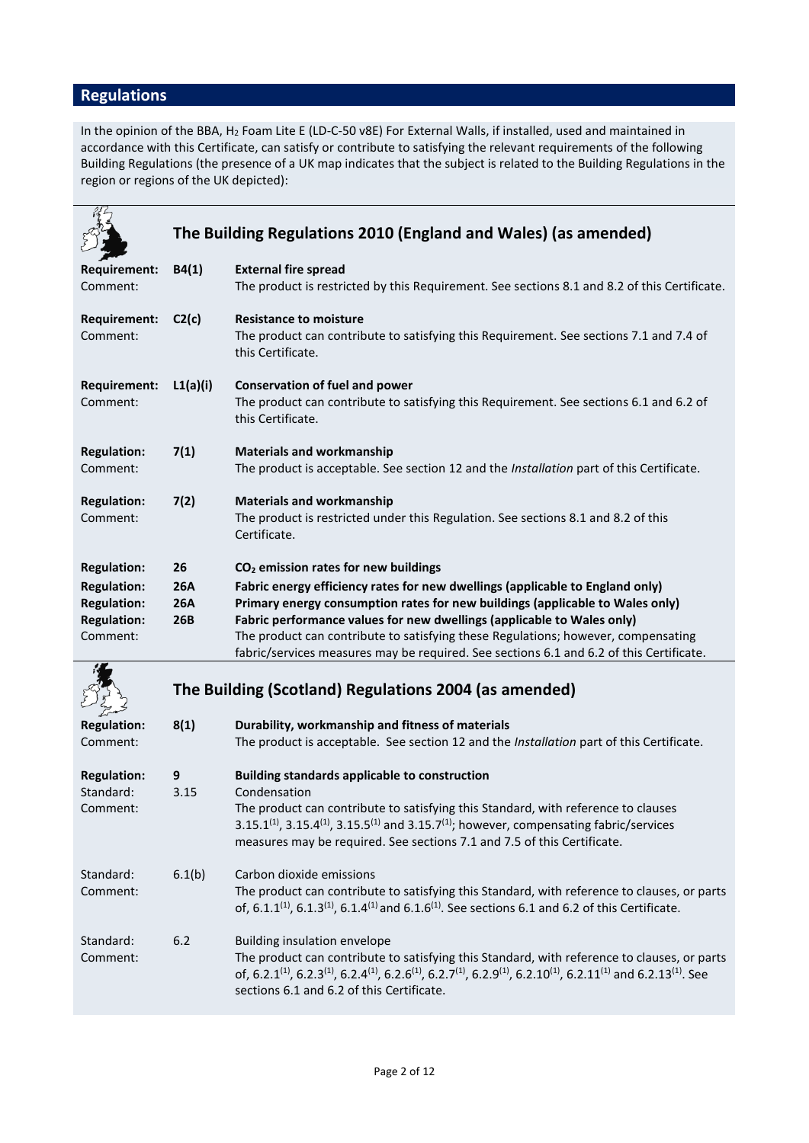# **Regulations**

In the opinion of the BBA, H<sup>2</sup> Foam Lite E (LD-C-50 v8E) For External Walls, if installed, used and maintained in accordance with this Certificate, can satisfy or contribute to satisfying the relevant requirements of the following Building Regulations (the presence of a UK map indicates that the subject is related to the Building Regulations in the region or regions of the UK depicted):

|                                                                            |                                 | The Building Regulations 2010 (England and Wales) (as amended)                                                                                                                                                                                                                                                                                                                                                           |
|----------------------------------------------------------------------------|---------------------------------|--------------------------------------------------------------------------------------------------------------------------------------------------------------------------------------------------------------------------------------------------------------------------------------------------------------------------------------------------------------------------------------------------------------------------|
| <b>Requirement:</b><br>Comment:                                            | B4(1)                           | <b>External fire spread</b><br>The product is restricted by this Requirement. See sections 8.1 and 8.2 of this Certificate.                                                                                                                                                                                                                                                                                              |
| Requirement:<br>Comment:                                                   | C2(c)                           | <b>Resistance to moisture</b><br>The product can contribute to satisfying this Requirement. See sections 7.1 and 7.4 of<br>this Certificate.                                                                                                                                                                                                                                                                             |
| <b>Requirement:</b><br>Comment:                                            | L1(a)(i)                        | <b>Conservation of fuel and power</b><br>The product can contribute to satisfying this Requirement. See sections 6.1 and 6.2 of<br>this Certificate.                                                                                                                                                                                                                                                                     |
| <b>Regulation:</b><br>Comment:                                             | 7(1)                            | <b>Materials and workmanship</b><br>The product is acceptable. See section 12 and the Installation part of this Certificate.                                                                                                                                                                                                                                                                                             |
| <b>Regulation:</b><br>Comment:                                             | 7(2)                            | <b>Materials and workmanship</b><br>The product is restricted under this Regulation. See sections 8.1 and 8.2 of this<br>Certificate.                                                                                                                                                                                                                                                                                    |
| <b>Regulation:</b>                                                         | 26                              | CO <sub>2</sub> emission rates for new buildings                                                                                                                                                                                                                                                                                                                                                                         |
| <b>Regulation:</b><br><b>Regulation:</b><br><b>Regulation:</b><br>Comment: | <b>26A</b><br><b>26A</b><br>26B | Fabric energy efficiency rates for new dwellings (applicable to England only)<br>Primary energy consumption rates for new buildings (applicable to Wales only)<br>Fabric performance values for new dwellings (applicable to Wales only)<br>The product can contribute to satisfying these Regulations; however, compensating<br>fabric/services measures may be required. See sections 6.1 and 6.2 of this Certificate. |
|                                                                            |                                 | The Building (Scotland) Regulations 2004 (as amended)                                                                                                                                                                                                                                                                                                                                                                    |
| <b>Regulation:</b><br>Comment:                                             | 8(1)                            | Durability, workmanship and fitness of materials<br>The product is acceptable. See section 12 and the Installation part of this Certificate.                                                                                                                                                                                                                                                                             |
| <b>Regulation:</b><br>Standard:<br>Comment:                                | 9<br>3.15                       | <b>Building standards applicable to construction</b><br>Condensation<br>The product can contribute to satisfying this Standard, with reference to clauses                                                                                                                                                                                                                                                                |
|                                                                            |                                 | 3.15.1 <sup>(1)</sup> , 3.15.4 <sup>(1)</sup> , 3.15.5 <sup>(1)</sup> and 3.15.7 <sup>(1)</sup> ; however, compensating fabric/services<br>measures may be required. See sections 7.1 and 7.5 of this Certificate.                                                                                                                                                                                                       |
| Standard:<br>Comment:                                                      | 6.1(b)                          | Carbon dioxide emissions<br>The product can contribute to satisfying this Standard, with reference to clauses, or parts<br>of, 6.1.1 <sup>(1)</sup> , 6.1.3 <sup>(1)</sup> , 6.1.4 <sup>(1)</sup> and 6.1.6 <sup>(1)</sup> . See sections 6.1 and 6.2 of this Certificate.                                                                                                                                               |
| Standard:<br>Comment:                                                      | 6.2                             | Building insulation envelope<br>The product can contribute to satisfying this Standard, with reference to clauses, or parts<br>of, 6.2.1 <sup>(1)</sup> , 6.2.3 <sup>(1)</sup> , 6.2.4 <sup>(1)</sup> , 6.2.6 <sup>(1)</sup> , 6.2.7 <sup>(1)</sup> , 6.2.9 <sup>(1)</sup> , 6.2.10 <sup>(1)</sup> , 6.2.11 <sup>(1)</sup> and 6.2.13 <sup>(1)</sup> . See<br>sections 6.1 and 6.2 of this Certificate.                  |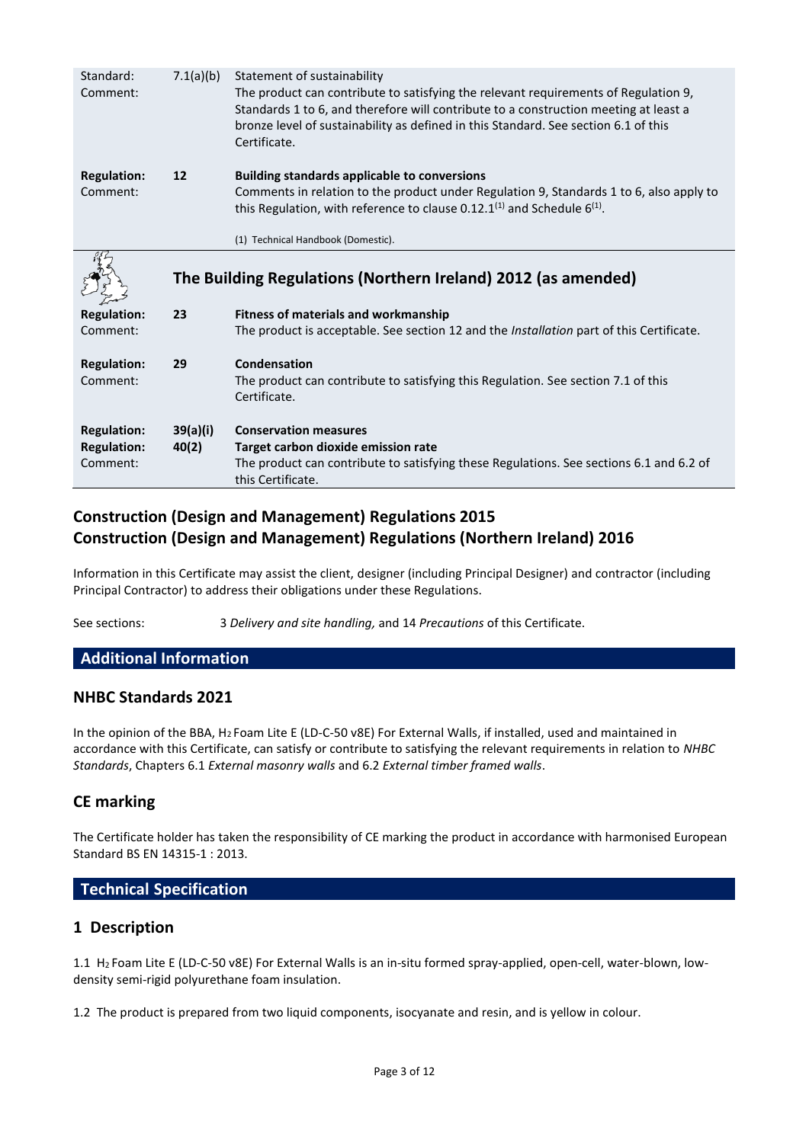| Standard:<br>Comment:          | 7.1(a)(b) | Statement of sustainability<br>The product can contribute to satisfying the relevant requirements of Regulation 9,<br>Standards 1 to 6, and therefore will contribute to a construction meeting at least a<br>bronze level of sustainability as defined in this Standard. See section 6.1 of this<br>Certificate. |  |
|--------------------------------|-----------|-------------------------------------------------------------------------------------------------------------------------------------------------------------------------------------------------------------------------------------------------------------------------------------------------------------------|--|
| <b>Regulation:</b><br>Comment: | 12        | <b>Building standards applicable to conversions</b><br>Comments in relation to the product under Regulation 9, Standards 1 to 6, also apply to<br>this Regulation, with reference to clause 0.12.1 <sup>(1)</sup> and Schedule $6^{(1)}$ .<br>(1) Technical Handbook (Domestic).                                  |  |
|                                |           | The Building Regulations (Northern Ireland) 2012 (as amended)                                                                                                                                                                                                                                                     |  |
| <b>Regulation:</b><br>Comment: | 23        | <b>Fitness of materials and workmanship</b>                                                                                                                                                                                                                                                                       |  |
|                                |           | The product is acceptable. See section 12 and the Installation part of this Certificate.                                                                                                                                                                                                                          |  |
| <b>Regulation:</b><br>Comment: | 29        | Condensation<br>The product can contribute to satisfying this Regulation. See section 7.1 of this<br>Certificate.                                                                                                                                                                                                 |  |

# **Construction (Design and Management) Regulations 2015 Construction (Design and Management) Regulations (Northern Ireland) 2016**

Information in this Certificate may assist the client, designer (including Principal Designer) and contractor (including Principal Contractor) to address their obligations under these Regulations.

See sections: 3 *Delivery and site handling,* and 14 *Precautions* of this Certificate.

# **Additional Information**

### **NHBC Standards 2021**

In the opinion of the BBA, H<sup>2</sup> Foam Lite E (LD-C-50 v8E) For External Walls, if installed, used and maintained in accordance with this Certificate, can satisfy or contribute to satisfying the relevant requirements in relation to *NHBC Standards*, Chapters 6.1 *External masonry walls* and 6.2 *External timber framed walls*.

### **CE marking**

The Certificate holder has taken the responsibility of CE marking the product in accordance with harmonised European Standard BS EN 14315-1 : 2013.

### **Technical Specification**

### **1 Description**

1.1 H<sup>2</sup> Foam Lite E (LD-C-50 v8E) For External Walls is an in-situ formed spray-applied, open-cell, water-blown, lowdensity semi-rigid polyurethane foam insulation.

1.2 The product is prepared from two liquid components, isocyanate and resin, and is yellow in colour.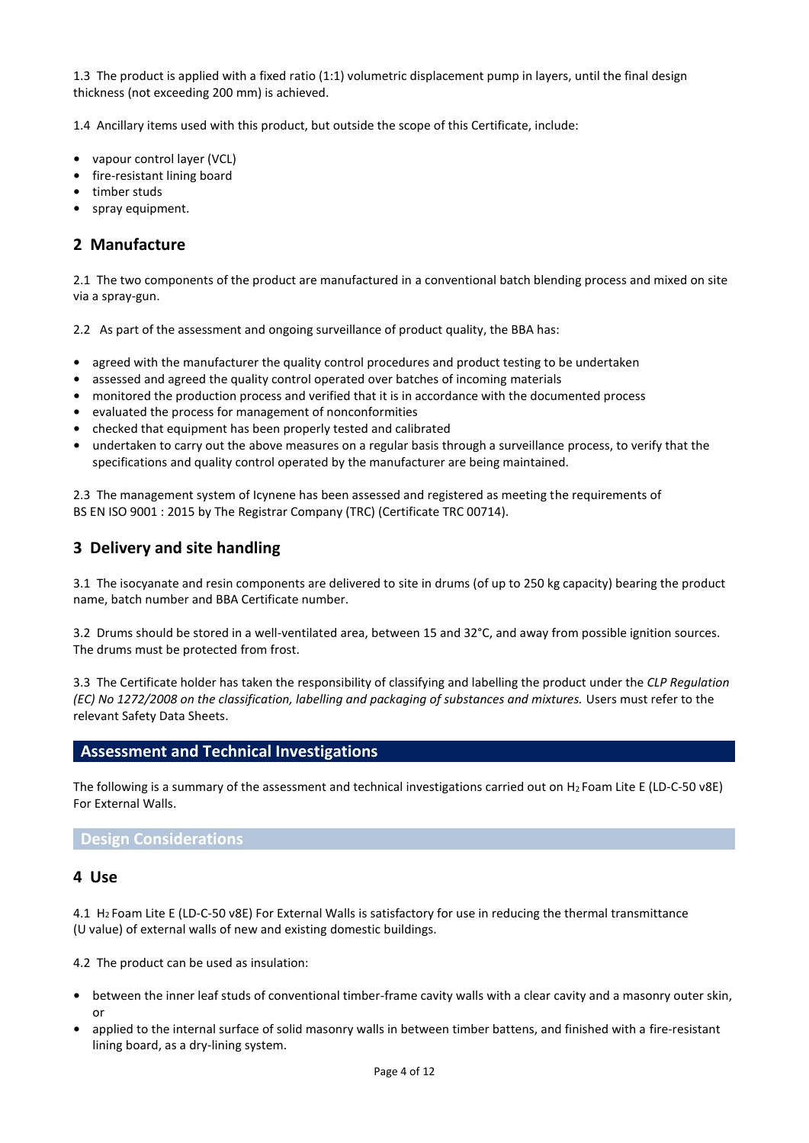1.3 The product is applied with a fixed ratio (1:1) volumetric displacement pump in layers, until the final design thickness (not exceeding 200 mm) is achieved.

1.4 Ancillary items used with this product, but outside the scope of this Certificate, include:

- **•** vapour control layer (VCL)
- **•** fire-resistant lining board
- **•** timber studs
- **•** spray equipment.

### **2 Manufacture**

2.1 The two components of the product are manufactured in a conventional batch blending process and mixed on site via a spray-gun.

2.2 As part of the assessment and ongoing surveillance of product quality, the BBA has:

- agreed with the manufacturer the quality control procedures and product testing to be undertaken
- **•** assessed and agreed the quality control operated over batches of incoming materials
- **•** monitored the production process and verified that it is in accordance with the documented process
- **•** evaluated the process for management of nonconformities
- **•** checked that equipment has been properly tested and calibrated
- **•** undertaken to carry out the above measures on a regular basis through a surveillance process, to verify that the specifications and quality control operated by the manufacturer are being maintained.

2.3 The management system of Icynene has been assessed and registered as meeting the requirements of BS EN ISO 9001 : 2015 by The Registrar Company (TRC) (Certificate TRC 00714).

### **3 Delivery and site handling**

3.1 The isocyanate and resin components are delivered to site in drums (of up to 250 kg capacity) bearing the product name, batch number and BBA Certificate number.

3.2 Drums should be stored in a well-ventilated area, between 15 and 32°C, and away from possible ignition sources. The drums must be protected from frost.

3.3 The Certificate holder has taken the responsibility of classifying and labelling the product under the *CLP Regulation (EC) No 1272/2008 on the classification, labelling and packaging of substances and mixtures.* Users must refer to the relevant Safety Data Sheets.

### **Assessment and Technical Investigations**

The following is a summary of the assessment and technical investigations carried out on H<sup>2</sup> Foam Lite E (LD-C-50 v8E) For External Walls.

#### **Design Considerations**

#### **4 Use**

4.1 H<sup>2</sup> Foam Lite E (LD-C-50 v8E) For External Walls is satisfactory for use in reducing the thermal transmittance (U value) of external walls of new and existing domestic buildings.

4.2 The product can be used as insulation:

- **•** between the inner leaf studs of conventional timber-frame cavity walls with a clear cavity and a masonry outer skin, or
- **•** applied to the internal surface of solid masonry walls in between timber battens, and finished with a fire-resistant lining board, as a dry-lining system.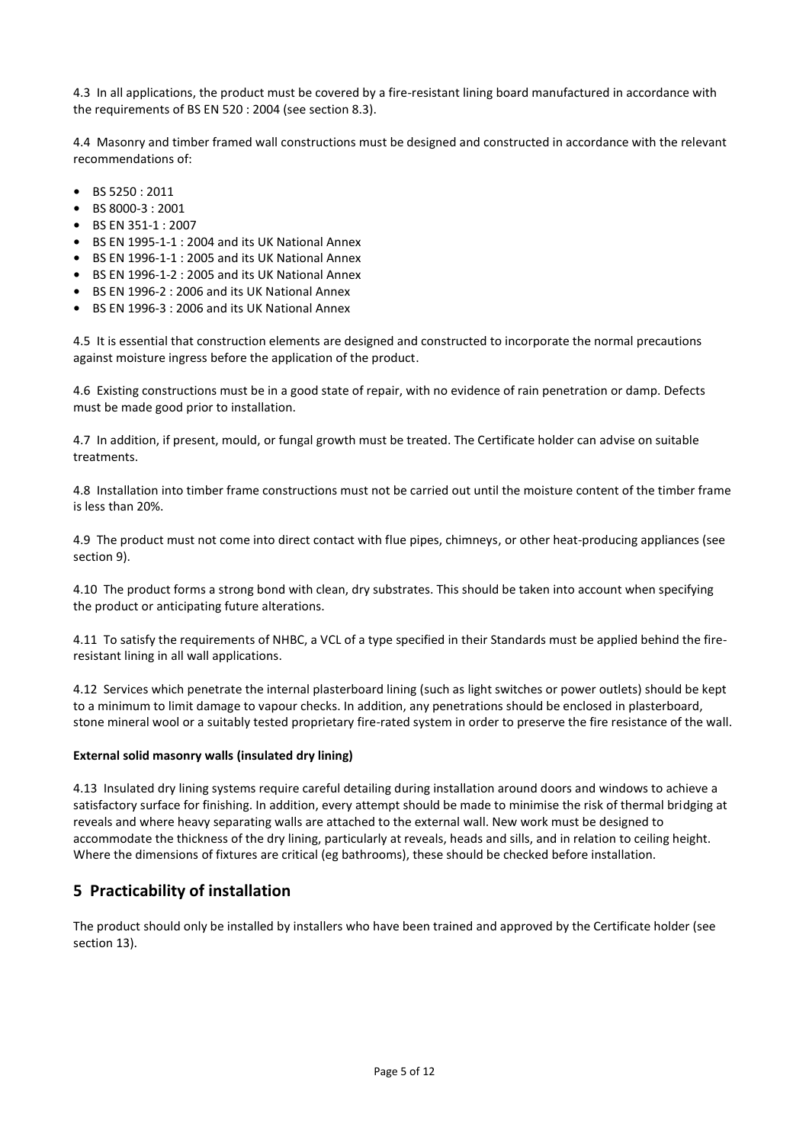4.3 In all applications, the product must be covered by a fire-resistant lining board manufactured in accordance with the requirements of BS EN 520 : 2004 (see section 8.3).

4.4 Masonry and timber framed wall constructions must be designed and constructed in accordance with the relevant recommendations of:

- **•** BS 5250 : 2011
- **•** BS 8000-3 : 2001
- **•** BS EN 351-1 : 2007
- **•** BS EN 1995-1-1 : 2004 and its UK National Annex
- **•** BS EN 1996-1-1 : 2005 and its UK National Annex
- **•** BS EN 1996-1-2 : 2005 and its UK National Annex
- **•** BS EN 1996-2 : 2006 and its UK National Annex
- **•** BS EN 1996-3 : 2006 and its UK National Annex

4.5 It is essential that construction elements are designed and constructed to incorporate the normal precautions against moisture ingress before the application of the product.

4.6 Existing constructions must be in a good state of repair, with no evidence of rain penetration or damp. Defects must be made good prior to installation.

4.7 In addition, if present, mould, or fungal growth must be treated. The Certificate holder can advise on suitable treatments.

4.8 Installation into timber frame constructions must not be carried out until the moisture content of the timber frame is less than 20%.

4.9 The product must not come into direct contact with flue pipes, chimneys, or other heat-producing appliances (see section 9).

4.10 The product forms a strong bond with clean, dry substrates. This should be taken into account when specifying the product or anticipating future alterations.

4.11 To satisfy the requirements of NHBC, a VCL of a type specified in their Standards must be applied behind the fireresistant lining in all wall applications.

4.12 Services which penetrate the internal plasterboard lining (such as light switches or power outlets) should be kept to a minimum to limit damage to vapour checks. In addition, any penetrations should be enclosed in plasterboard, stone mineral wool or a suitably tested proprietary fire-rated system in order to preserve the fire resistance of the wall.

#### **External solid masonry walls (insulated dry lining)**

4.13 Insulated dry lining systems require careful detailing during installation around doors and windows to achieve a satisfactory surface for finishing. In addition, every attempt should be made to minimise the risk of thermal bridging at reveals and where heavy separating walls are attached to the external wall. New work must be designed to accommodate the thickness of the dry lining, particularly at reveals, heads and sills, and in relation to ceiling height. Where the dimensions of fixtures are critical (eg bathrooms), these should be checked before installation.

# **5 Practicability of installation**

The product should only be installed by installers who have been trained and approved by the Certificate holder (see section 13).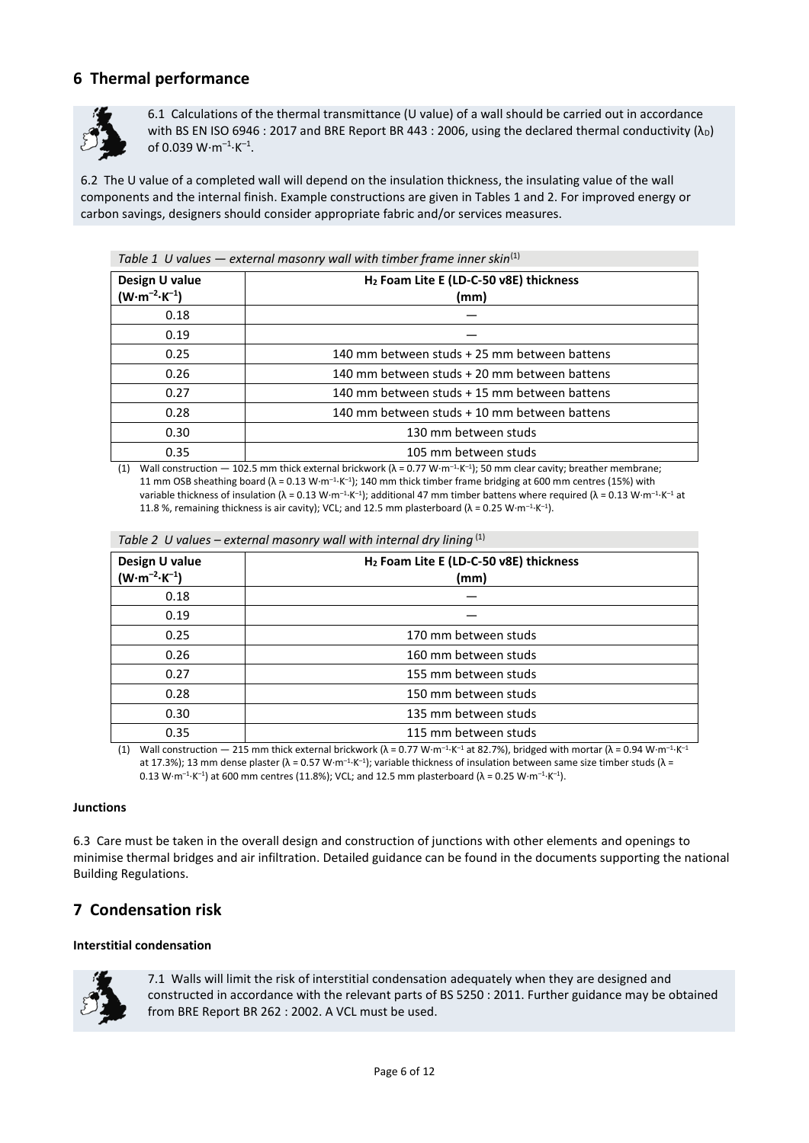# **6 Thermal performance**



6.1 Calculations of the thermal transmittance (U value) of a wall should be carried out in accordance with BS EN ISO 6946 : 2017 and BRE Report BR 443 : 2006, using the declared thermal conductivity  $(\lambda_D)$ of 0.039  $W·m<sup>-1</sup>·K<sup>-1</sup>$ .

6.2 The U value of a completed wall will depend on the insulation thickness, the insulating value of the wall components and the internal finish. Example constructions are given in Tables 1 and 2. For improved energy or carbon savings, designers should consider appropriate fabric and/or services measures.

| Design U value<br>$(W \cdot m^{-2} \cdot K^{-1})$ | H <sub>2</sub> Foam Lite E (LD-C-50 v8E) thickness<br>(mm) |
|---------------------------------------------------|------------------------------------------------------------|
| 0.18                                              |                                                            |
| 0.19                                              |                                                            |
| 0.25                                              | 140 mm between studs + 25 mm between battens               |
| 0.26                                              | 140 mm between studs + 20 mm between battens               |
| 0.27                                              | 140 mm between studs + 15 mm between battens               |
| 0.28                                              | 140 mm between studs + 10 mm between battens               |
| 0.30                                              | 130 mm between studs                                       |
| 0.35                                              | 105 mm between studs                                       |

*Table 1 U values — external masonry wall with timber frame inner skin*(1)

(1) Wall construction — 102.5 mm thick external brickwork ( $\lambda = 0.77 \text{ W} \cdot \text{m}^{-1} \cdot \text{K}^{-1}$ ); 50 mm clear cavity; breather membrane; 11 mm OSB sheathing board ( $\lambda = 0.13$  W⋅m<sup>-1</sup>⋅K<sup>-1</sup>); 140 mm thick timber frame bridging at 600 mm centres (15%) with variable thickness of insulation (λ = 0.13 W⋅m<sup>-1</sup>⋅K<sup>-1</sup>); additional 47 mm timber battens where required (λ = 0.13 W⋅m<sup>-1</sup>⋅K<sup>-1</sup> at 11.8 %, remaining thickness is air cavity); VCL; and 12.5 mm plasterboard ( $\lambda$  = 0.25 W⋅m<sup>-1</sup>⋅K<sup>-1</sup>).

| Design U value<br>$(W \cdot m^{-2} \cdot K^{-1})$ | H <sub>2</sub> Foam Lite E (LD-C-50 v8E) thickness<br>(mm) |  |
|---------------------------------------------------|------------------------------------------------------------|--|
| 0.18                                              |                                                            |  |
| 0.19                                              |                                                            |  |
| 0.25                                              | 170 mm between studs                                       |  |
| 0.26                                              | 160 mm between studs                                       |  |
| 0.27                                              | 155 mm between studs                                       |  |
| 0.28                                              | 150 mm between studs                                       |  |
| 0.30                                              | 135 mm between studs                                       |  |
| 0.35                                              | 115 mm between studs                                       |  |

*Table 2 U values – external masonry wall with internal dry lining* (1)

(1) Wall construction — 215 mm thick external brickwork (λ = 0.77 W⋅m<sup>-1</sup>⋅K<sup>-1</sup> at 82.7%), bridged with mortar (λ = 0.94 W⋅m<sup>-1</sup>⋅K<sup>-1</sup> at 17.3%); 13 mm dense plaster ( $\lambda$  = 0.57 W⋅m<sup>-1</sup>⋅K<sup>-1</sup>); variable thickness of insulation between same size timber studs ( $\lambda$  =  $0.13$  W⋅m<sup>-1</sup>⋅K<sup>-1</sup>) at 600 mm centres (11.8%); VCL; and 12.5 mm plasterboard (λ = 0.25 W⋅m<sup>-1</sup>⋅K<sup>-1</sup>).

#### **Junctions**

6.3 Care must be taken in the overall design and construction of junctions with other elements and openings to minimise thermal bridges and air infiltration. Detailed guidance can be found in the documents supporting the national Building Regulations.

### **7 Condensation risk**

#### **Interstitial condensation**



7.1 Walls will limit the risk of interstitial condensation adequately when they are designed and constructed in accordance with the relevant parts of BS 5250 : 2011. Further guidance may be obtained from BRE Report BR 262 : 2002. A VCL must be used.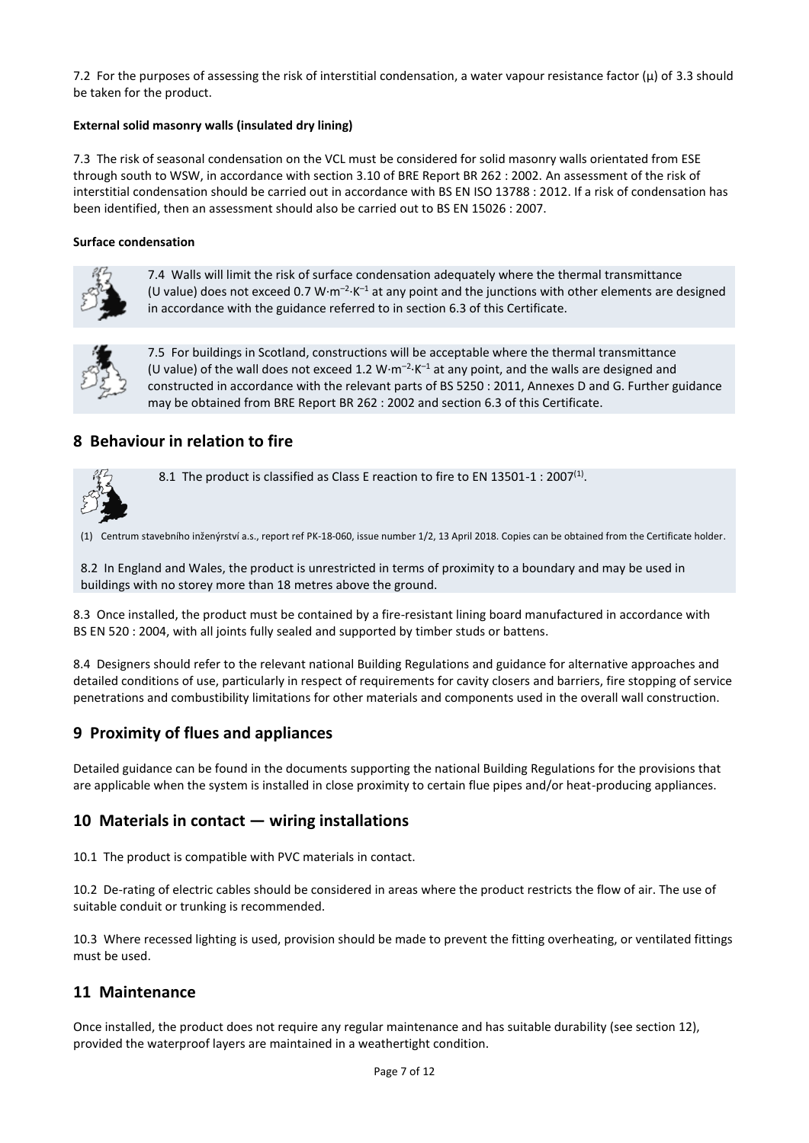7.2 For the purposes of assessing the risk of interstitial condensation, a water vapour resistance factor  $(\mu)$  of 3.3 should be taken for the product.

#### **External solid masonry walls (insulated dry lining)**

7.3 The risk of seasonal condensation on the VCL must be considered for solid masonry walls orientated from ESE through south to WSW, in accordance with section 3.10 of BRE Report BR 262 : 2002. An assessment of the risk of interstitial condensation should be carried out in accordance with BS EN ISO 13788 : 2012. If a risk of condensation has been identified, then an assessment should also be carried out to BS EN 15026 : 2007.

#### **Surface condensation**



7.4 Walls will limit the risk of surface condensation adequately where the thermal transmittance (U value) does not exceed 0.7 W $\cdot$ m<sup>-2</sup> $\cdot$ K<sup>-1</sup> at any point and the junctions with other elements are designed in accordance with the guidance referred to in section 6.3 of this Certificate.



7.5 For buildings in Scotland, constructions will be acceptable where the thermal transmittance (U value) of the wall does not exceed 1.2  $W \cdot m^{-2} \cdot K^{-1}$  at any point, and the walls are designed and constructed in accordance with the relevant parts of BS 5250 : 2011, Annexes D and G. Further guidance may be obtained from BRE Report BR 262 : 2002 and section 6.3 of this Certificate.

### **8 Behaviour in relation to fire**



8.1 The product is classified as Class E reaction to fire to EN 13501-1 : 2007<sup>(1)</sup>.

(1) Centrum stavebního inženýrství a.s., report ref PK-18-060, issue number 1/2, 13 April 2018. Copies can be obtained from the Certificate holder.

8.2 In England and Wales, the product is unrestricted in terms of proximity to a boundary and may be used in buildings with no storey more than 18 metres above the ground.

8.3 Once installed, the product must be contained by a fire-resistant lining board manufactured in accordance with BS EN 520 : 2004, with all joints fully sealed and supported by timber studs or battens.

8.4 Designers should refer to the relevant national Building Regulations and guidance for alternative approaches and detailed conditions of use, particularly in respect of requirements for cavity closers and barriers, fire stopping of service penetrations and combustibility limitations for other materials and components used in the overall wall construction.

### **9 Proximity of flues and appliances**

Detailed guidance can be found in the documents supporting the national Building Regulations for the provisions that are applicable when the system is installed in close proximity to certain flue pipes and/or heat-producing appliances.

# **10 Materials in contact — wiring installations**

10.1 The product is compatible with PVC materials in contact.

10.2 De-rating of electric cables should be considered in areas where the product restricts the flow of air. The use of suitable conduit or trunking is recommended.

10.3 Where recessed lighting is used, provision should be made to prevent the fitting overheating, or ventilated fittings must be used.

#### **11 Maintenance**

Once installed, the product does not require any regular maintenance and has suitable durability (see section 12), provided the waterproof layers are maintained in a weathertight condition.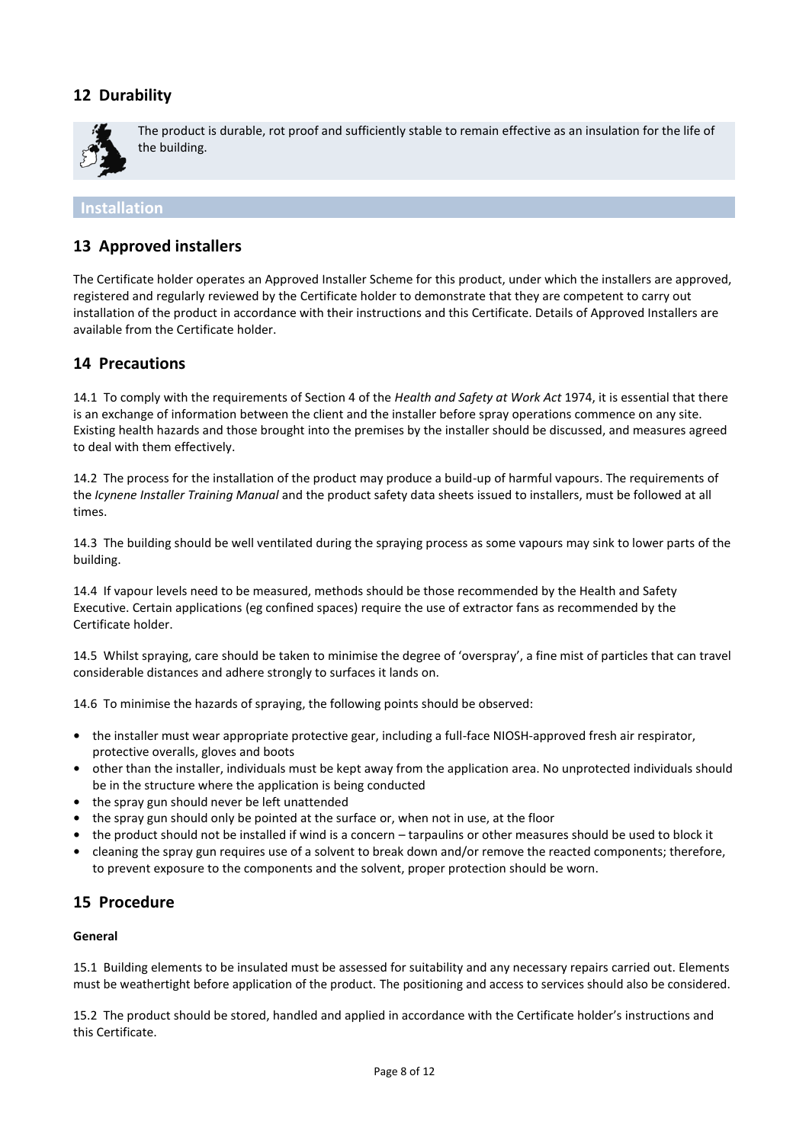# **12 Durability**



The product is durable, rot proof and sufficiently stable to remain effective as an insulation for the life of the building.

#### **Installation**

## **13 Approved installers**

The Certificate holder operates an Approved Installer Scheme for this product, under which the installers are approved, registered and regularly reviewed by the Certificate holder to demonstrate that they are competent to carry out installation of the product in accordance with their instructions and this Certificate. Details of Approved Installers are available from the Certificate holder.

### **14 Precautions**

14.1 To comply with the requirements of Section 4 of the *Health and Safety at Work Act* 1974, it is essential that there is an exchange of information between the client and the installer before spray operations commence on any site. Existing health hazards and those brought into the premises by the installer should be discussed, and measures agreed to deal with them effectively.

14.2 The process for the installation of the product may produce a build-up of harmful vapours. The requirements of the *Icynene Installer Training Manual* and the product safety data sheets issued to installers, must be followed at all times.

14.3 The building should be well ventilated during the spraying process as some vapours may sink to lower parts of the building.

14.4 If vapour levels need to be measured, methods should be those recommended by the Health and Safety Executive. Certain applications (eg confined spaces) require the use of extractor fans as recommended by the Certificate holder.

14.5 Whilst spraying, care should be taken to minimise the degree of 'overspray', a fine mist of particles that can travel considerable distances and adhere strongly to surfaces it lands on.

14.6 To minimise the hazards of spraying, the following points should be observed:

- **•** the installer must wear appropriate protective gear, including a full-face NIOSH-approved fresh air respirator, protective overalls, gloves and boots
- **•** other than the installer, individuals must be kept away from the application area. No unprotected individuals should be in the structure where the application is being conducted
- **•** the spray gun should never be left unattended
- **•** the spray gun should only be pointed at the surface or, when not in use, at the floor
- **•** the product should not be installed if wind is a concern tarpaulins or other measures should be used to block it
- **•** cleaning the spray gun requires use of a solvent to break down and/or remove the reacted components; therefore, to prevent exposure to the components and the solvent, proper protection should be worn.

### **15 Procedure**

#### **General**

15.1 Building elements to be insulated must be assessed for suitability and any necessary repairs carried out. Elements must be weathertight before application of the product. The positioning and access to services should also be considered.

15.2 The product should be stored, handled and applied in accordance with the Certificate holder's instructions and this Certificate.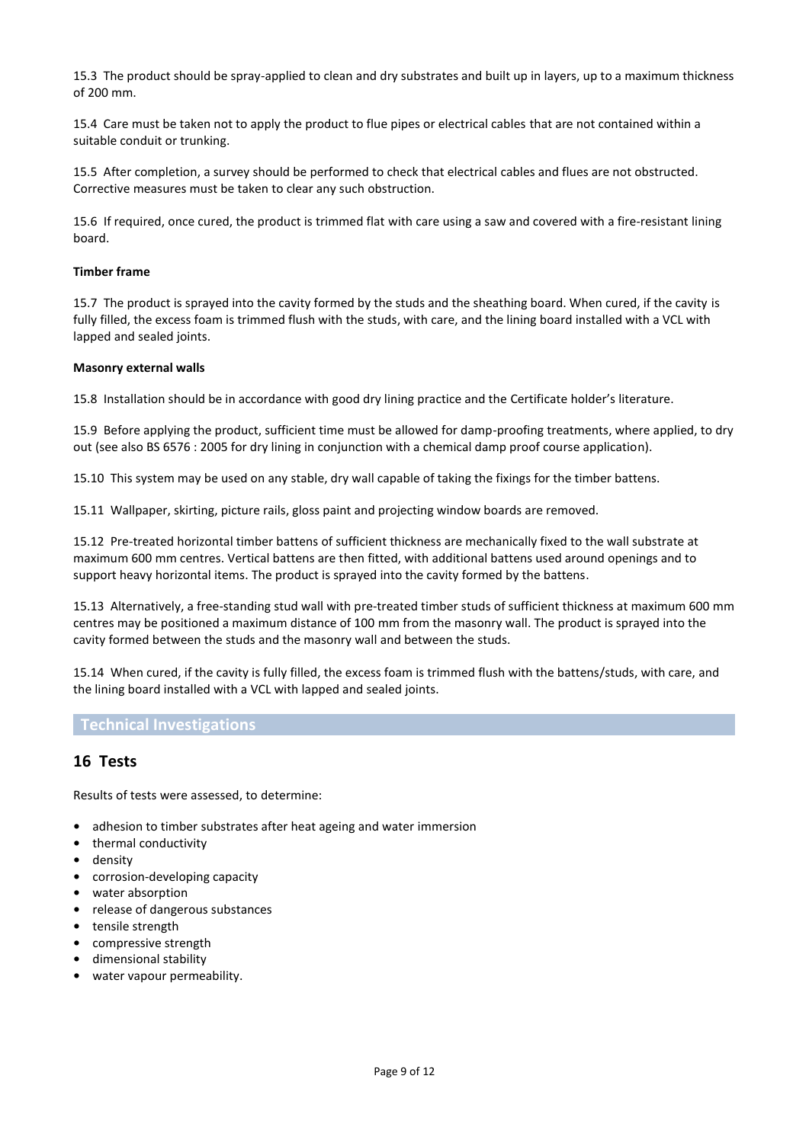15.3 The product should be spray-applied to clean and dry substrates and built up in layers, up to a maximum thickness of 200 mm.

15.4 Care must be taken not to apply the product to flue pipes or electrical cables that are not contained within a suitable conduit or trunking.

15.5 After completion, a survey should be performed to check that electrical cables and flues are not obstructed. Corrective measures must be taken to clear any such obstruction.

15.6 If required, once cured, the product is trimmed flat with care using a saw and covered with a fire-resistant lining board.

#### **Timber frame**

15.7 The product is sprayed into the cavity formed by the studs and the sheathing board. When cured, if the cavity is fully filled, the excess foam is trimmed flush with the studs, with care, and the lining board installed with a VCL with lapped and sealed joints.

#### **Masonry external walls**

15.8 Installation should be in accordance with good dry lining practice and the Certificate holder's literature.

15.9 Before applying the product, sufficient time must be allowed for damp-proofing treatments, where applied, to dry out (see also BS 6576 : 2005 for dry lining in conjunction with a chemical damp proof course application).

15.10 This system may be used on any stable, dry wall capable of taking the fixings for the timber battens.

15.11 Wallpaper, skirting, picture rails, gloss paint and projecting window boards are removed.

15.12 Pre-treated horizontal timber battens of sufficient thickness are mechanically fixed to the wall substrate at maximum 600 mm centres. Vertical battens are then fitted, with additional battens used around openings and to support heavy horizontal items. The product is sprayed into the cavity formed by the battens.

15.13 Alternatively, a free-standing stud wall with pre-treated timber studs of sufficient thickness at maximum 600 mm centres may be positioned a maximum distance of 100 mm from the masonry wall. The product is sprayed into the cavity formed between the studs and the masonry wall and between the studs.

15.14 When cured, if the cavity is fully filled, the excess foam is trimmed flush with the battens/studs, with care, and the lining board installed with a VCL with lapped and sealed joints.

#### **Technical Investigations**

### **16 Tests**

Results of tests were assessed, to determine:

- **•** adhesion to timber substrates after heat ageing and water immersion
- **•** thermal conductivity
- **•** density
- **•** corrosion-developing capacity
- **•** water absorption
- **•** release of dangerous substances
- **•** tensile strength
- **•** compressive strength
- **•** dimensional stability
- **•** water vapour permeability.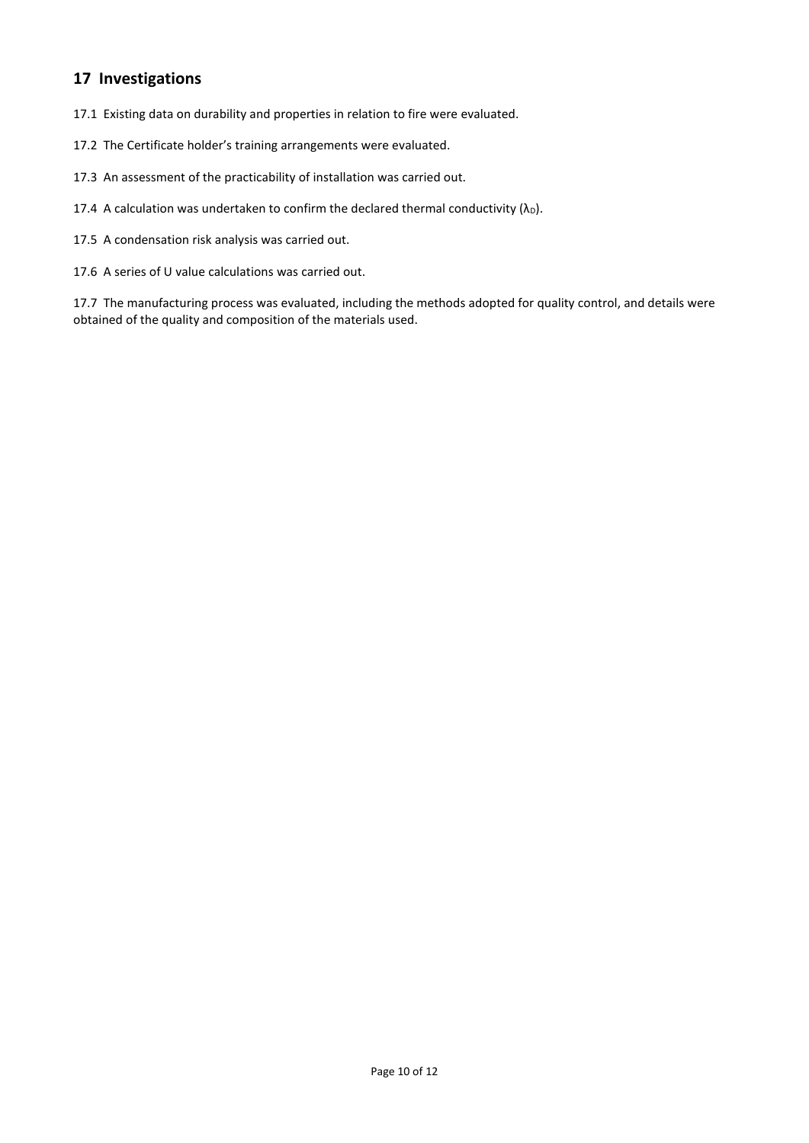# **17 Investigations**

17.1 Existing data on durability and properties in relation to fire were evaluated.

- 17.2 The Certificate holder's training arrangements were evaluated.
- 17.3 An assessment of the practicability of installation was carried out.
- 17.4 A calculation was undertaken to confirm the declared thermal conductivity  $(\lambda_D)$ .
- 17.5 A condensation risk analysis was carried out.
- 17.6 A series of U value calculations was carried out.

17.7 The manufacturing process was evaluated, including the methods adopted for quality control, and details were obtained of the quality and composition of the materials used.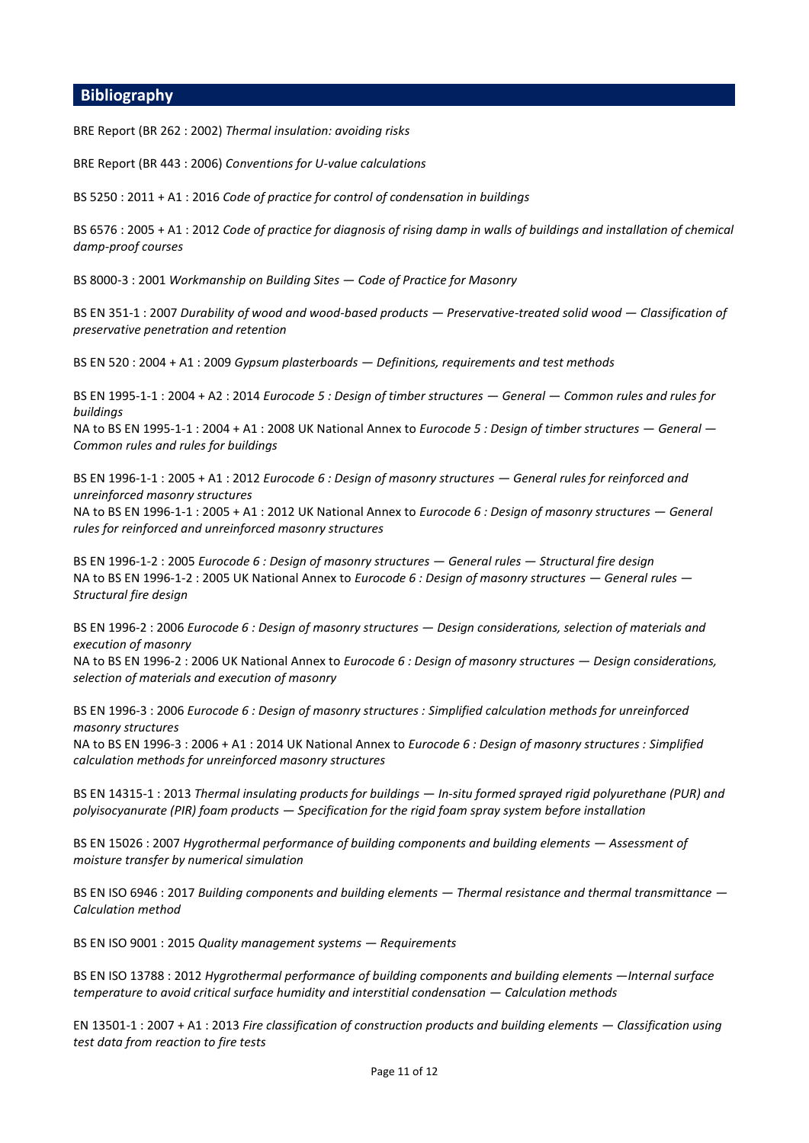### **Bibliography**

BRE Report (BR 262 : 2002) *Thermal insulation: avoiding risks*

BRE Report (BR 443 : 2006) *Conventions for U-value calculations*

BS 5250 : 2011 + A1 : 2016 *Code of practice for control of condensation in buildings*

BS 6576 : 2005 + A1 : 2012 *Code of practice for diagnosis of rising damp in walls of buildings and installation of chemical damp-proof courses*

BS 8000-3 : 2001 *Workmanship on Building Sites — Code of Practice for Masonry*

BS EN 351-1 : 2007 *Durability of wood and wood-based products — Preservative-treated solid wood — Classification of preservative penetration and retention*

BS EN 520 : 2004 + A1 : 2009 *Gypsum plasterboards — Definitions, requirements and test methods*

BS EN 1995-1-1 : 2004 + A2 : 2014 *Eurocode 5 : Design of timber structures — General — Common rules and rules for buildings*

NA to BS EN 1995-1-1 : 2004 + A1 : 2008 UK National Annex to *Eurocode 5 : Design of timber structures — General — Common rules and rules for buildings*

BS EN 1996-1-1 : 2005 + A1 : 2012 *Eurocode 6 : Design of masonry structures — General rules for reinforced and unreinforced masonry structures*

NA to BS EN 1996-1-1 : 2005 + A1 : 2012 UK National Annex to *Eurocode 6 : Design of masonry structures — General rules for reinforced and unreinforced masonry structures* 

BS EN 1996-1-2 : 2005 *Eurocode 6 : Design of masonry structures — General rules — Structural fire design* NA to BS EN 1996-1-2 : 2005 UK National Annex to *Eurocode 6 : Design of masonry structures — General rules — Structural fire design* 

BS EN 1996-2 : 2006 *Eurocode 6 : Design of masonry structures — Design considerations, selection of materials and execution of masonry*

NA to BS EN 1996-2 : 2006 UK National Annex to *Eurocode 6 : Design of masonry structures — Design considerations, selection of materials and execution of masonry*

BS EN 1996-3 : 2006 *Eurocode 6 : Design of masonry structures : Simplified calculati*o*n methods for unreinforced masonry structures*

NA to BS EN 1996-3 : 2006 + A1 : 2014 UK National Annex to *Eurocode 6 : Design of masonry structures : Simplified calculati*o*n methods for unreinforced masonry structures*

BS EN 14315-1 : 2013 *Thermal insulating products for buildings — In-situ formed sprayed rigid polyurethane (PUR) and polyisocyanurate (PIR) foam products — Specification for the rigid foam spray system before installation*

BS EN 15026 : 2007 *Hygrothermal performance of building components and building elements - Assessment of moisture transfer by numerical simulation*

BS EN ISO 6946 : 2017 *Building components and building elements — Thermal resistance and thermal transmittance — Calculation method*

BS EN ISO 9001 : 2015 *Quality management systems — Requirements*

BS EN ISO 13788 : 2012 *Hygrothermal performance of building components and building elements —Internal surface temperature to avoid critical surface humidity and interstitial condensation — Calculation methods* 

EN 13501-1 : 2007 + A1 : 2013 *Fire classification of construction products and building elements — Classification using test data from reaction to fire tests*